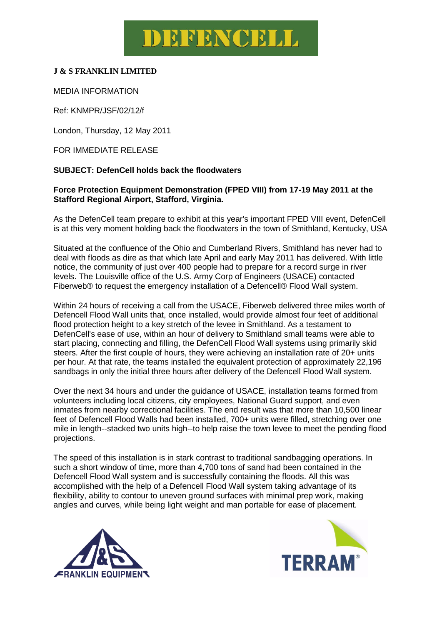# DEFENCELL

### **J & S FRANKLIN LIMITED**

#### MEDIA INFORMATION

Ref: KNMPR/JSF/02/12/f

London, Thursday, 12 May 2011

FOR IMMEDIATE RELEASE

#### **SUBJECT: DefenCell holds back the floodwaters**

#### **Force Protection Equipment Demonstration (FPED VIII) from 17-19 May 2011 at the Stafford Regional Airport, Stafford, Virginia.**

As the DefenCell team prepare to exhibit at this year's important FPED VIII event, DefenCell is at this very moment holding back the floodwaters in the town of Smithland, Kentucky, USA

Situated at the confluence of the Ohio and Cumberland Rivers, Smithland has never had to deal with floods as dire as that which late April and early May 2011 has delivered. With little notice, the community of just over 400 people had to prepare for a record surge in river levels. The Louisville office of the U.S. Army Corp of Engineers (USACE) contacted Fiberweb® to request the emergency installation of a Defencell® Flood Wall system.

Within 24 hours of receiving a call from the USACE, Fiberweb delivered three miles worth of Defencell Flood Wall units that, once installed, would provide almost four feet of additional flood protection height to a key stretch of the levee in Smithland. As a testament to DefenCell's ease of use, within an hour of delivery to Smithland small teams were able to start placing, connecting and filling, the DefenCell Flood Wall systems using primarily skid steers. After the first couple of hours, they were achieving an installation rate of 20+ units per hour. At that rate, the teams installed the equivalent protection of approximately 22,196 sandbags in only the initial three hours after delivery of the Defencell Flood Wall system.

Over the next 34 hours and under the guidance of USACE, installation teams formed from volunteers including local citizens, city employees, National Guard support, and even inmates from nearby correctional facilities. The end result was that more than 10,500 linear feet of Defencell Flood Walls had been installed, 700+ units were filled, stretching over one mile in length--stacked two units high--to help raise the town levee to meet the pending flood projections.

The speed of this installation is in stark contrast to traditional sandbagging operations. In such a short window of time, more than 4,700 tons of sand had been contained in the Defencell Flood Wall system and is successfully containing the floods. All this was accomplished with the help of a Defencell Flood Wall system taking advantage of its flexibility, ability to contour to uneven ground surfaces with minimal prep work, making angles and curves, while being light weight and man portable for ease of placement.